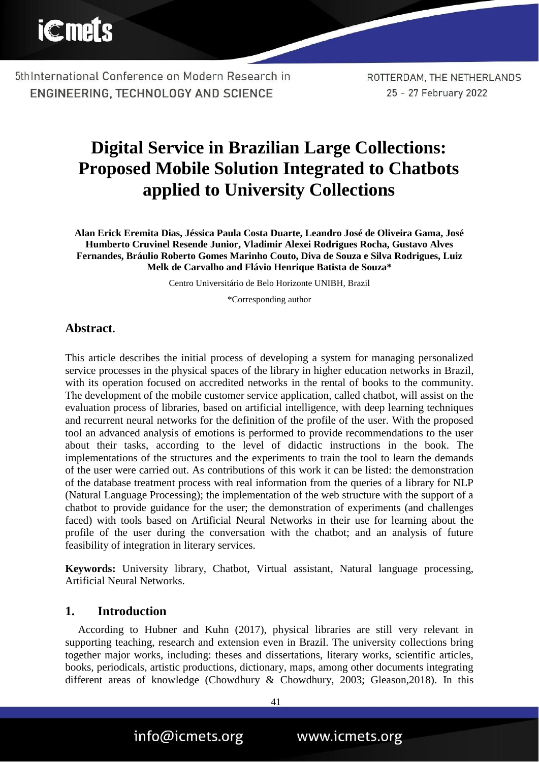**iCmets** 

5thInternational Conference on Modern Research in ENGINEERING, TECHNOLOGY AND SCIENCE

ROTTERDAM, THE NETHERLANDS 25 - 27 February 2022

# **Digital Service in Brazilian Large Collections: Proposed Mobile Solution Integrated to Chatbots applied to University Collections**

**Alan Erick Eremita Dias, Jéssica Paula Costa Duarte, Leandro José de Oliveira Gama, José Humberto Cruvinel Resende Junior, Vladimir Alexei Rodrigues Rocha, Gustavo Alves Fernandes, Bráulio Roberto Gomes Marinho Couto, Diva de Souza e Silva Rodrigues, Luiz Melk de Carvalho and Flávio Henrique Batista de Souza\***

Centro Universitário de Belo Horizonte UNIBH, Brazil

\*Corresponding author

#### **Abstract.**

This article describes the initial process of developing a system for managing personalized service processes in the physical spaces of the library in higher education networks in Brazil, with its operation focused on accredited networks in the rental of books to the community. The development of the mobile customer service application, called chatbot, will assist on the evaluation process of libraries, based on artificial intelligence, with deep learning techniques and recurrent neural networks for the definition of the profile of the user. With the proposed tool an advanced analysis of emotions is performed to provide recommendations to the user about their tasks, according to the level of didactic instructions in the book. The implementations of the structures and the experiments to train the tool to learn the demands of the user were carried out. As contributions of this work it can be listed: the demonstration of the database treatment process with real information from the queries of a library for NLP (Natural Language Processing); the implementation of the web structure with the support of a chatbot to provide guidance for the user; the demonstration of experiments (and challenges faced) with tools based on Artificial Neural Networks in their use for learning about the profile of the user during the conversation with the chatbot; and an analysis of future feasibility of integration in literary services.

**Keywords:** University library, Chatbot, Virtual assistant, Natural language processing, Artificial Neural Networks.

### **1. Introduction**

According to Hubner and Kuhn (2017), physical libraries are still very relevant in supporting teaching, research and extension even in Brazil. The university collections bring together major works, including: theses and dissertations, literary works, scientific articles, books, periodicals, artistic productions, dictionary, maps, among other documents integrating different areas of knowledge (Chowdhury & Chowdhury, 2003; Gleason,2018). In this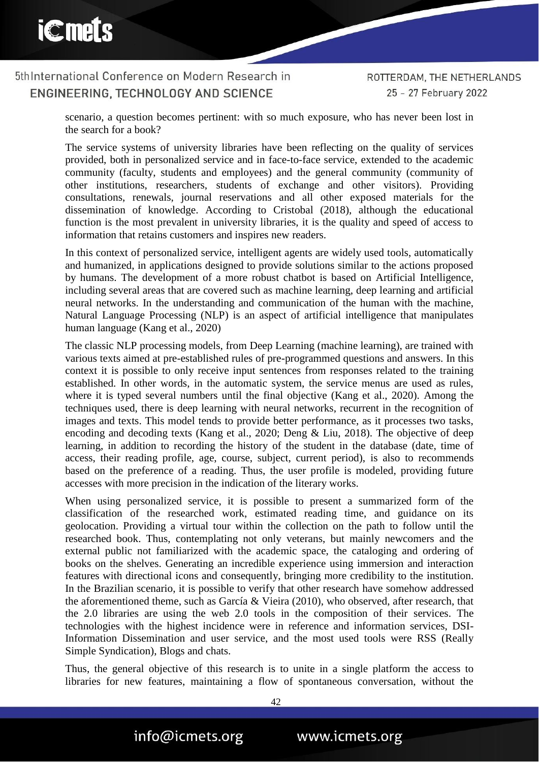

ROTTERDAM, THE NETHERLANDS 25 - 27 February 2022

scenario, a question becomes pertinent: with so much exposure, who has never been lost in the search for a book?

The service systems of university libraries have been reflecting on the quality of services provided, both in personalized service and in face-to-face service, extended to the academic community (faculty, students and employees) and the general community (community of other institutions, researchers, students of exchange and other visitors). Providing consultations, renewals, journal reservations and all other exposed materials for the dissemination of knowledge. According to Cristobal (2018), although the educational function is the most prevalent in university libraries, it is the quality and speed of access to information that retains customers and inspires new readers.

In this context of personalized service, intelligent agents are widely used tools, automatically and humanized, in applications designed to provide solutions similar to the actions proposed by humans. The development of a more robust chatbot is based on Artificial Intelligence, including several areas that are covered such as machine learning, deep learning and artificial neural networks. In the understanding and communication of the human with the machine, Natural Language Processing (NLP) is an aspect of artificial intelligence that manipulates human language (Kang et al., 2020)

The classic NLP processing models, from Deep Learning (machine learning), are trained with various texts aimed at pre-established rules of pre-programmed questions and answers. In this context it is possible to only receive input sentences from responses related to the training established. In other words, in the automatic system, the service menus are used as rules, where it is typed several numbers until the final objective (Kang et al., 2020). Among the techniques used, there is deep learning with neural networks, recurrent in the recognition of images and texts. This model tends to provide better performance, as it processes two tasks, encoding and decoding texts (Kang et al., 2020; Deng & Liu, 2018). The objective of deep learning, in addition to recording the history of the student in the database (date, time of access, their reading profile, age, course, subject, current period), is also to recommends based on the preference of a reading. Thus, the user profile is modeled, providing future accesses with more precision in the indication of the literary works.

When using personalized service, it is possible to present a summarized form of the classification of the researched work, estimated reading time, and guidance on its geolocation. Providing a virtual tour within the collection on the path to follow until the researched book. Thus, contemplating not only veterans, but mainly newcomers and the external public not familiarized with the academic space, the cataloging and ordering of books on the shelves. Generating an incredible experience using immersion and interaction features with directional icons and consequently, bringing more credibility to the institution. In the Brazilian scenario, it is possible to verify that other research have somehow addressed the aforementioned theme, such as García & Vieira (2010), who observed, after research, that the 2.0 libraries are using the web 2.0 tools in the composition of their services. The technologies with the highest incidence were in reference and information services, DSI-Information Dissemination and user service, and the most used tools were RSS (Really Simple Syndication), Blogs and chats.

Thus, the general objective of this research is to unite in a single platform the access to libraries for new features, maintaining a flow of spontaneous conversation, without the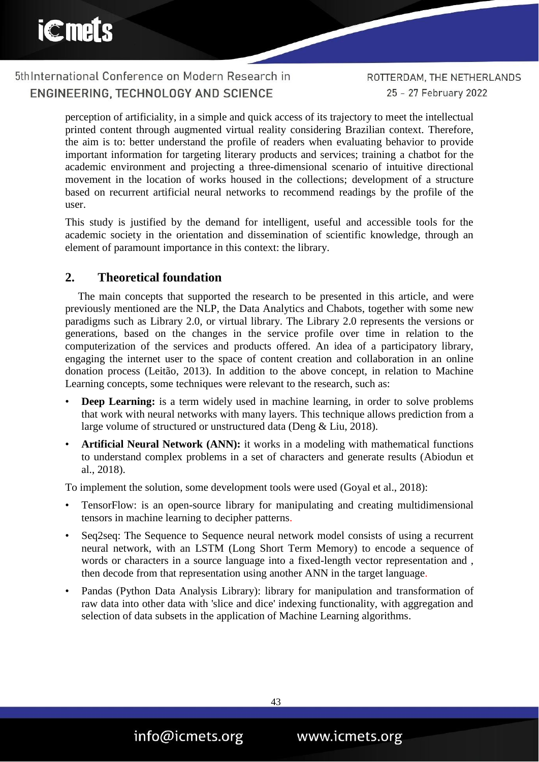ROTTERDAM, THE NETHERLANDS 25 - 27 February 2022

perception of artificiality, in a simple and quick access of its trajectory to meet the intellectual printed content through augmented virtual reality considering Brazilian context. Therefore, the aim is to: better understand the profile of readers when evaluating behavior to provide important information for targeting literary products and services; training a chatbot for the academic environment and projecting a three-dimensional scenario of intuitive directional movement in the location of works housed in the collections; development of a structure based on recurrent artificial neural networks to recommend readings by the profile of the user.

This study is justified by the demand for intelligent, useful and accessible tools for the academic society in the orientation and dissemination of scientific knowledge, through an element of paramount importance in this context: the library.

## **2. Theoretical foundation**

The main concepts that supported the research to be presented in this article, and were previously mentioned are the NLP, the Data Analytics and Chabots, together with some new paradigms such as Library 2.0, or virtual library. The Library 2.0 represents the versions or generations, based on the changes in the service profile over time in relation to the computerization of the services and products offered. An idea of a participatory library, engaging the internet user to the space of content creation and collaboration in an online donation process (Leitão, 2013). In addition to the above concept, in relation to Machine Learning concepts, some techniques were relevant to the research, such as:

- **Deep Learning:** is a term widely used in machine learning, in order to solve problems that work with neural networks with many layers. This technique allows prediction from a large volume of structured or unstructured data (Deng & Liu, 2018).
- **Artificial Neural Network (ANN):** it works in a modeling with mathematical functions to understand complex problems in a set of characters and generate results (Abiodun et al., 2018).

To implement the solution, some development tools were used (Goyal et al., 2018):

- TensorFlow: is an open-source library for manipulating and creating multidimensional tensors in machine learning to decipher patterns.
- Seq2seq: The Sequence to Sequence neural network model consists of using a recurrent neural network, with an LSTM (Long Short Term Memory) to encode a sequence of words or characters in a source language into a fixed-length vector representation and , then decode from that representation using another ANN in the target language.
- Pandas (Python Data Analysis Library): library for manipulation and transformation of raw data into other data with 'slice and dice' indexing functionality, with aggregation and selection of data subsets in the application of Machine Learning algorithms.

43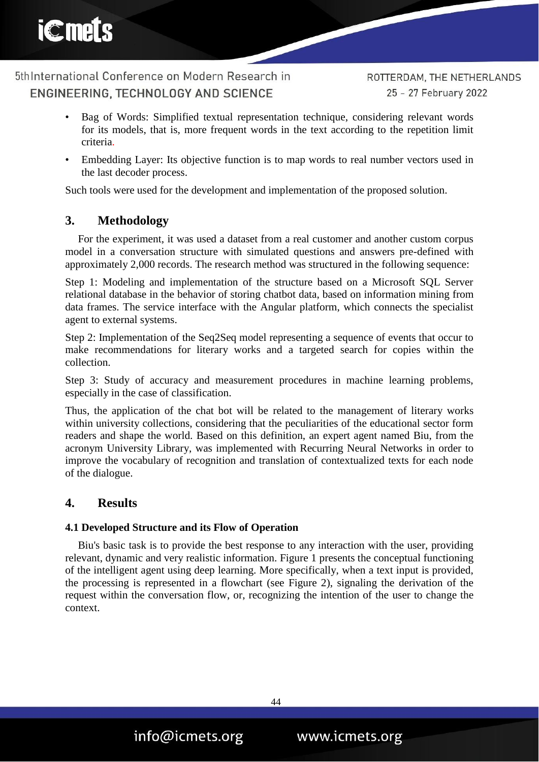ROTTERDAM, THE NETHERLANDS 25 - 27 February 2022

- Bag of Words: Simplified textual representation technique, considering relevant words for its models, that is, more frequent words in the text according to the repetition limit criteria.
- Embedding Layer: Its objective function is to map words to real number vectors used in the last decoder process.

Such tools were used for the development and implementation of the proposed solution.

## **3. Methodology**

For the experiment, it was used a dataset from a real customer and another custom corpus model in a conversation structure with simulated questions and answers pre-defined with approximately 2,000 records. The research method was structured in the following sequence:

Step 1: Modeling and implementation of the structure based on a Microsoft SQL Server relational database in the behavior of storing chatbot data, based on information mining from data frames. The service interface with the Angular platform, which connects the specialist agent to external systems.

Step 2: Implementation of the Seq2Seq model representing a sequence of events that occur to make recommendations for literary works and a targeted search for copies within the collection.

Step 3: Study of accuracy and measurement procedures in machine learning problems, especially in the case of classification.

Thus, the application of the chat bot will be related to the management of literary works within university collections, considering that the peculiarities of the educational sector form readers and shape the world. Based on this definition, an expert agent named Biu, from the acronym University Library, was implemented with Recurring Neural Networks in order to improve the vocabulary of recognition and translation of contextualized texts for each node of the dialogue.

## **4. Results**

#### **4.1 Developed Structure and its Flow of Operation**

Biu's basic task is to provide the best response to any interaction with the user, providing relevant, dynamic and very realistic information. Figure 1 presents the conceptual functioning of the intelligent agent using deep learning. More specifically, when a text input is provided, the processing is represented in a flowchart (see Figure 2), signaling the derivation of the request within the conversation flow, or, recognizing the intention of the user to change the context.

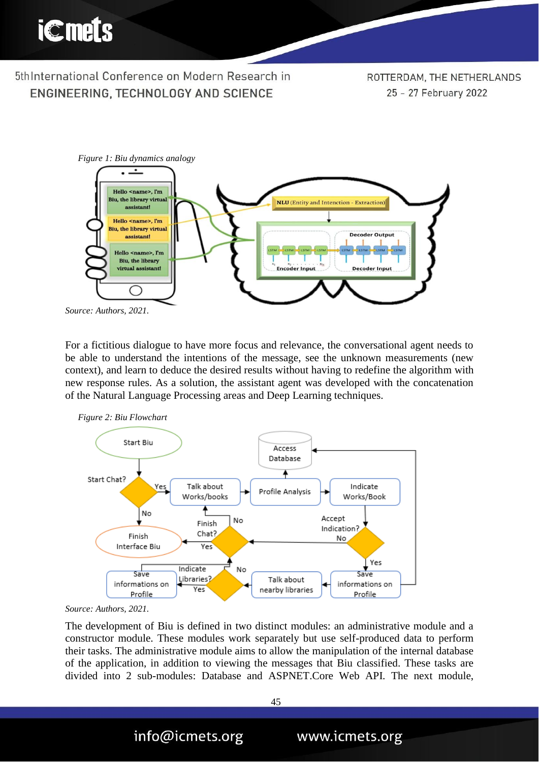ROTTERDAM, THE NETHERLANDS 25 - 27 February 2022



For a fictitious dialogue to have more focus and relevance, the conversational agent needs to be able to understand the intentions of the message, see the unknown measurements (new context), and learn to deduce the desired results without having to redefine the algorithm with new response rules. As a solution, the assistant agent was developed with the concatenation of the Natural Language Processing areas and Deep Learning techniques.



*Source: Authors, 2021.*

The development of Biu is defined in two distinct modules: an administrative module and a constructor module. These modules work separately but use self-produced data to perform their tasks. The administrative module aims to allow the manipulation of the internal database of the application, in addition to viewing the messages that Biu classified. These tasks are divided into 2 sub-modules: Database and ASPNET.Core Web API. The next module,

info@icmets.org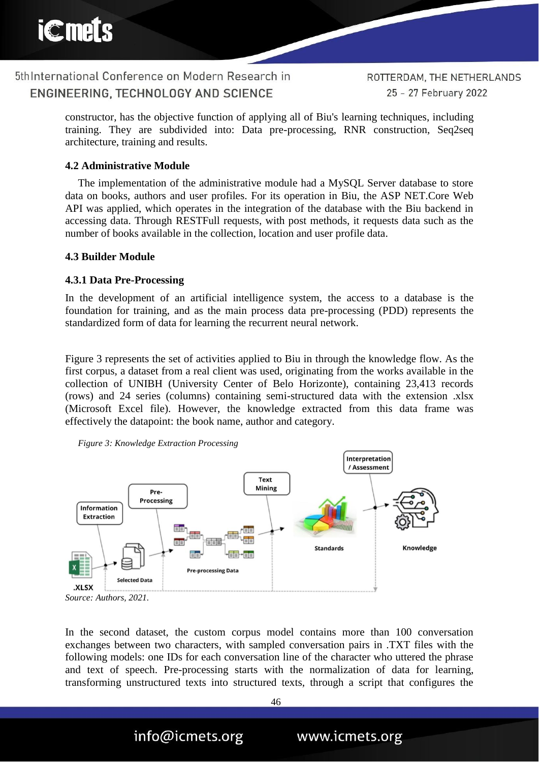ROTTERDAM, THE NETHERLANDS 25 - 27 February 2022

constructor, has the objective function of applying all of Biu's learning techniques, including training. They are subdivided into: Data pre-processing, RNR construction, Seq2seq architecture, training and results.

#### **4.2 Administrative Module**

The implementation of the administrative module had a MySQL Server database to store data on books, authors and user profiles. For its operation in Biu, the ASP NET.Core Web API was applied, which operates in the integration of the database with the Biu backend in accessing data. Through RESTFull requests, with post methods, it requests data such as the number of books available in the collection, location and user profile data.

#### **4.3 Builder Module**

#### **4.3.1 Data Pre-Processing**

In the development of an artificial intelligence system, the access to a database is the foundation for training, and as the main process data pre-processing (PDD) represents the standardized form of data for learning the recurrent neural network.

Figure 3 represents the set of activities applied to Biu in through the knowledge flow. As the first corpus, a dataset from a real client was used, originating from the works available in the collection of UNIBH (University Center of Belo Horizonte), containing 23,413 records (rows) and 24 series (columns) containing semi-structured data with the extension .xlsx (Microsoft Excel file). However, the knowledge extracted from this data frame was effectively the datapoint: the book name, author and category.



info@icmets.org



*Source: Authors, 2021.*

In the second dataset, the custom corpus model contains more than 100 conversation exchanges between two characters, with sampled conversation pairs in .TXT files with the following models: one IDs for each conversation line of the character who uttered the phrase and text of speech. Pre-processing starts with the normalization of data for learning, transforming unstructured texts into structured texts, through a script that configures the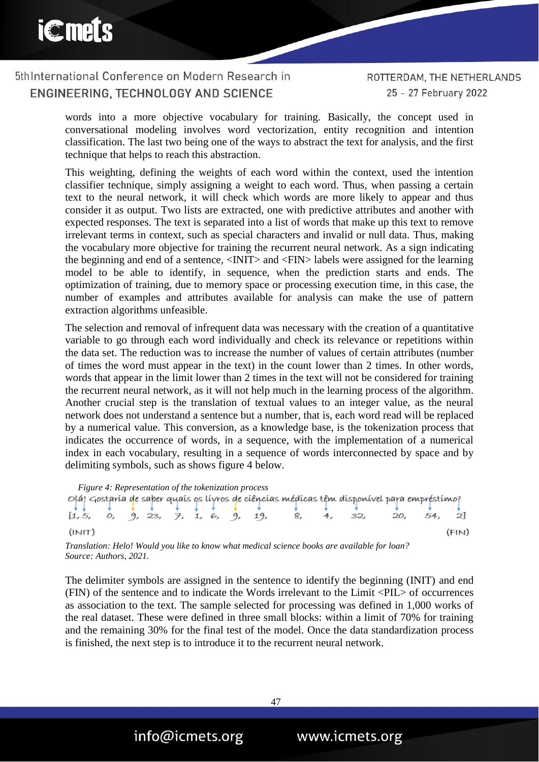

ROTTERDAM, THE NETHERLANDS 25 - 27 February 2022

words into a more objective vocabulary for training. Basically, the concept used in conversational modeling involves word vectorization, entity recognition and intention classification. The last two being one of the ways to abstract the text for analysis, and the first technique that helps to reach this abstraction.

This weighting, defining the weights of each word within the context, used the intention classifier technique, simply assigning a weight to each word. Thus, when passing a certain text to the neural network, it will check which words are more likely to appear and thus consider it as output. Two lists are extracted, one with predictive attributes and another with expected responses. The text is separated into a list of words that make up this text to remove irrelevant terms in context, such as special characters and invalid or null data. Thus, making the vocabulary more objective for training the recurrent neural network. As a sign indicating the beginning and end of a sentence, <INIT> and <FIN> labels were assigned for the learning model to be able to identify, in sequence, when the prediction starts and ends. The optimization of training, due to memory space or processing execution time, in this case, the number of examples and attributes available for analysis can make the use of pattern extraction algorithms unfeasible.

The selection and removal of infrequent data was necessary with the creation of a quantitative variable to go through each word individually and check its relevance or repetitions within the data set. The reduction was to increase the number of values of certain attributes (number of times the word must appear in the text) in the count lower than 2 times. In other words, words that appear in the limit lower than 2 times in the text will not be considered for training the recurrent neural network, as it will not help much in the learning process of the algorithm. Another crucial step is the translation of textual values to an integer value, as the neural network does not understand a sentence but a number, that is, each word read will be replaced by a numerical value. This conversion, as a knowledge base, is the tokenization process that indicates the occurrence of words, in a sequence, with the implementation of a numerical index in each vocabulary, resulting in a sequence of words interconnected by space and by delimiting symbols, such as shows figure 4 below.

*Figure 4: Representation of the tokenization process* Olá! Gostaría de saber quais os livros de ciências médicas têm disponível para empréstimo? 19,  $[1, 5,$ O.  $9, 23,$ ヲ, 1, 6, 9, R. 4. 32. 20. 21  $(INIT)$ (FIN) *Translation: Helo! Would you like to know what medical science books are available for loan?*

The delimiter symbols are assigned in the sentence to identify the beginning (INIT) and end (FIN) of the sentence and to indicate the Words irrelevant to the Limit <PIL> of occurrences as association to the text. The sample selected for processing was defined in 1,000 works of the real dataset. These were defined in three small blocks: within a limit of 70% for training and the remaining 30% for the final test of the model. Once the data standardization process is finished, the next step is to introduce it to the recurrent neural network.

47

*Source: Authors, 2021.*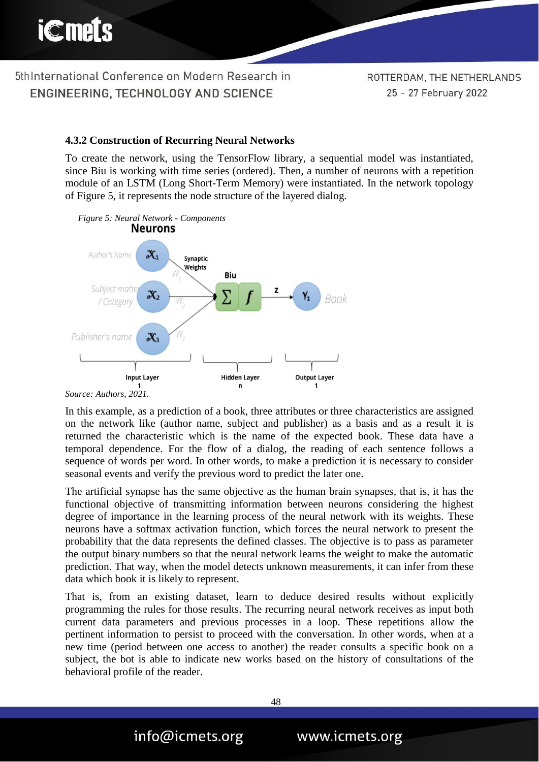ROTTERDAM, THE NETHERLANDS 25 - 27 February 2022

#### **4.3.2 Construction of Recurring Neural Networks**

To create the network, using the TensorFlow library, a sequential model was instantiated, since Biu is working with time series (ordered). Then, a number of neurons with a repetition module of an LSTM (Long Short-Term Memory) were instantiated. In the network topology of Figure 5, it represents the node structure of the layered dialog.



*Source: Authors, 2021.*

In this example, as a prediction of a book, three attributes or three characteristics are assigned on the network like (author name, subject and publisher) as a basis and as a result it is returned the characteristic which is the name of the expected book. These data have a temporal dependence. For the flow of a dialog, the reading of each sentence follows a sequence of words per word. In other words, to make a prediction it is necessary to consider seasonal events and verify the previous word to predict the later one.

The artificial synapse has the same objective as the human brain synapses, that is, it has the functional objective of transmitting information between neurons considering the highest degree of importance in the learning process of the neural network with its weights. These neurons have a softmax activation function, which forces the neural network to present the probability that the data represents the defined classes. The objective is to pass as parameter the output binary numbers so that the neural network learns the weight to make the automatic prediction. That way, when the model detects unknown measurements, it can infer from these data which book it is likely to represent.

That is, from an existing dataset, learn to deduce desired results without explicitly programming the rules for those results. The recurring neural network receives as input both current data parameters and previous processes in a loop. These repetitions allow the pertinent information to persist to proceed with the conversation. In other words, when at a new time (period between one access to another) the reader consults a specific book on a subject, the bot is able to indicate new works based on the history of consultations of the behavioral profile of the reader.



info@icmets.org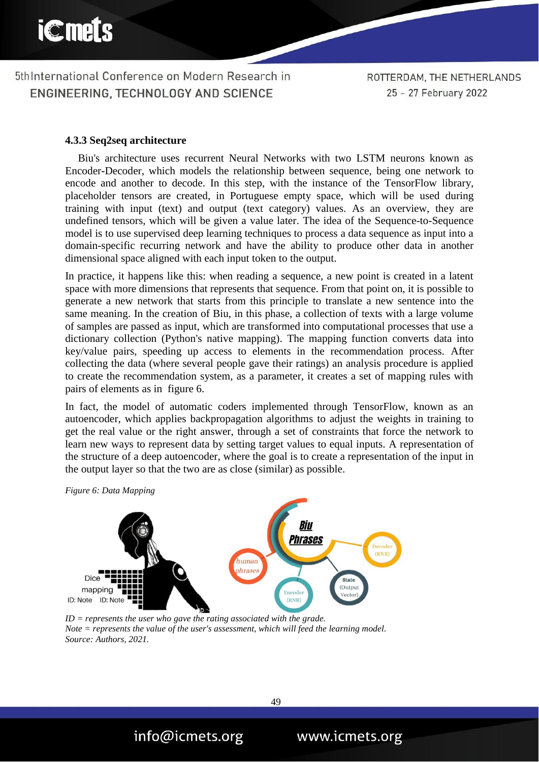ROTTERDAM, THE NETHERLANDS 25 - 27 February 2022

#### **4.3.3 Seq2seq architecture**

Biu's architecture uses recurrent Neural Networks with two LSTM neurons known as Encoder-Decoder, which models the relationship between sequence, being one network to encode and another to decode. In this step, with the instance of the TensorFlow library, placeholder tensors are created, in Portuguese empty space, which will be used during training with input (text) and output (text category) values. As an overview, they are undefined tensors, which will be given a value later. The idea of the Sequence-to-Sequence model is to use supervised deep learning techniques to process a data sequence as input into a domain-specific recurring network and have the ability to produce other data in another dimensional space aligned with each input token to the output.

In practice, it happens like this: when reading a sequence, a new point is created in a latent space with more dimensions that represents that sequence. From that point on, it is possible to generate a new network that starts from this principle to translate a new sentence into the same meaning. In the creation of Biu, in this phase, a collection of texts with a large volume of samples are passed as input, which are transformed into computational processes that use a dictionary collection (Python's native mapping). The mapping function converts data into key/value pairs, speeding up access to elements in the recommendation process. After collecting the data (where several people gave their ratings) an analysis procedure is applied to create the recommendation system, as a parameter, it creates a set of mapping rules with pairs of elements as in figure 6.

In fact, the model of automatic coders implemented through TensorFlow, known as an autoencoder, which applies backpropagation algorithms to adjust the weights in training to get the real value or the right answer, through a set of constraints that force the network to learn new ways to represent data by setting target values to equal inputs. A representation of the structure of a deep autoencoder, where the goal is to create a representation of the input in the output layer so that the two are as close (similar) as possible.





*ID = represents the user who gave the rating associated with the grade. Note = represents the value of the user's assessment, which will feed the learning model. Source: Authors, 2021.*

info@icmets.org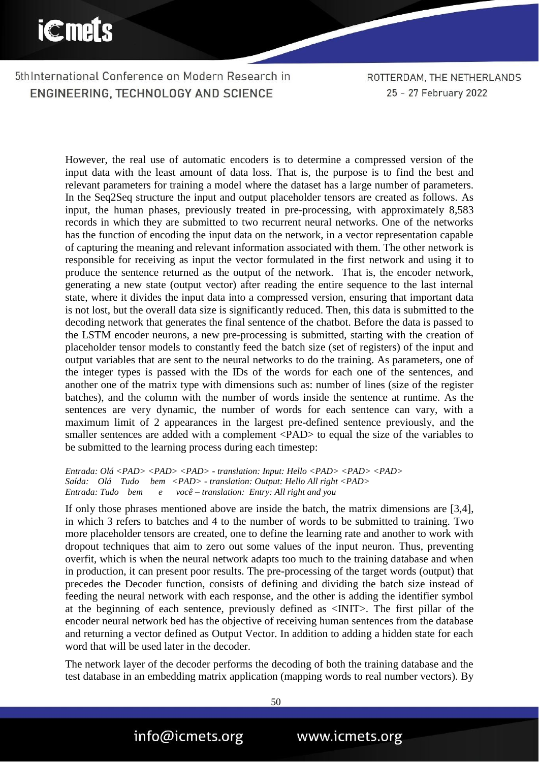ROTTERDAM, THE NETHERLANDS 25 - 27 February 2022

However, the real use of automatic encoders is to determine a compressed version of the input data with the least amount of data loss. That is, the purpose is to find the best and relevant parameters for training a model where the dataset has a large number of parameters. In the Seq2Seq structure the input and output placeholder tensors are created as follows. As input, the human phases, previously treated in pre-processing, with approximately 8,583 records in which they are submitted to two recurrent neural networks. One of the networks has the function of encoding the input data on the network, in a vector representation capable of capturing the meaning and relevant information associated with them. The other network is responsible for receiving as input the vector formulated in the first network and using it to produce the sentence returned as the output of the network. That is, the encoder network, generating a new state (output vector) after reading the entire sequence to the last internal state, where it divides the input data into a compressed version, ensuring that important data is not lost, but the overall data size is significantly reduced. Then, this data is submitted to the decoding network that generates the final sentence of the chatbot. Before the data is passed to the LSTM encoder neurons, a new pre-processing is submitted, starting with the creation of placeholder tensor models to constantly feed the batch size (set of registers) of the input and output variables that are sent to the neural networks to do the training. As parameters, one of the integer types is passed with the IDs of the words for each one of the sentences, and another one of the matrix type with dimensions such as: number of lines (size of the register batches), and the column with the number of words inside the sentence at runtime. As the sentences are very dynamic, the number of words for each sentence can vary, with a maximum limit of 2 appearances in the largest pre-defined sentence previously, and the smaller sentences are added with a complement  $\langle PAD \rangle$  to equal the size of the variables to be submitted to the learning process during each timestep:

*Entrada: Olá <PAD> <PAD> <PAD> - translation: Input: Hello <PAD> <PAD> <PAD> Saída: Olá Tudo bem <PAD> - translation: Output: Hello All right <PAD> Entrada: Tudo bem e você – translation: Entry: All right and you*

If only those phrases mentioned above are inside the batch, the matrix dimensions are [3,4], in which 3 refers to batches and 4 to the number of words to be submitted to training. Two more placeholder tensors are created, one to define the learning rate and another to work with dropout techniques that aim to zero out some values of the input neuron. Thus, preventing overfit, which is when the neural network adapts too much to the training database and when in production, it can present poor results. The pre-processing of the target words (output) that precedes the Decoder function, consists of defining and dividing the batch size instead of feeding the neural network with each response, and the other is adding the identifier symbol at the beginning of each sentence, previously defined as <INIT>. The first pillar of the encoder neural network bed has the objective of receiving human sentences from the database and returning a vector defined as Output Vector. In addition to adding a hidden state for each word that will be used later in the decoder.

The network layer of the decoder performs the decoding of both the training database and the test database in an embedding matrix application (mapping words to real number vectors). By

50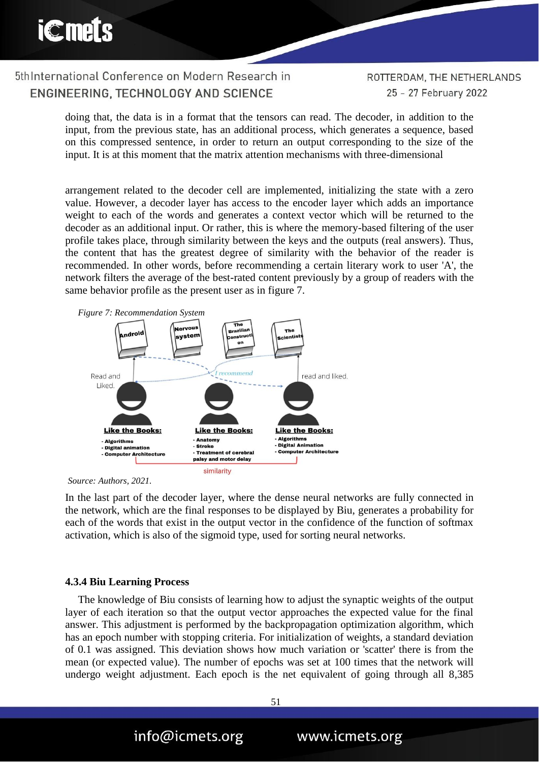ROTTERDAM, THE NETHERLANDS 25 - 27 February 2022

doing that, the data is in a format that the tensors can read. The decoder, in addition to the input, from the previous state, has an additional process, which generates a sequence, based on this compressed sentence, in order to return an output corresponding to the size of the input. It is at this moment that the matrix attention mechanisms with three-dimensional

arrangement related to the decoder cell are implemented, initializing the state with a zero value. However, a decoder layer has access to the encoder layer which adds an importance weight to each of the words and generates a context vector which will be returned to the decoder as an additional input. Or rather, this is where the memory-based filtering of the user profile takes place, through similarity between the keys and the outputs (real answers). Thus, the content that has the greatest degree of similarity with the behavior of the reader is recommended. In other words, before recommending a certain literary work to user 'A', the network filters the average of the best-rated content previously by a group of readers with the same behavior profile as the present user as in figure 7.



*Source: Authors, 2021.*

In the last part of the decoder layer, where the dense neural networks are fully connected in the network, which are the final responses to be displayed by Biu, generates a probability for each of the words that exist in the output vector in the confidence of the function of softmax activation, which is also of the sigmoid type, used for sorting neural networks.

#### **4.3.4 Biu Learning Process**

info@icmets.org

The knowledge of Biu consists of learning how to adjust the synaptic weights of the output layer of each iteration so that the output vector approaches the expected value for the final answer. This adjustment is performed by the backpropagation optimization algorithm, which has an epoch number with stopping criteria. For initialization of weights, a standard deviation of 0.1 was assigned. This deviation shows how much variation or 'scatter' there is from the mean (or expected value). The number of epochs was set at 100 times that the network will undergo weight adjustment. Each epoch is the net equivalent of going through all 8,385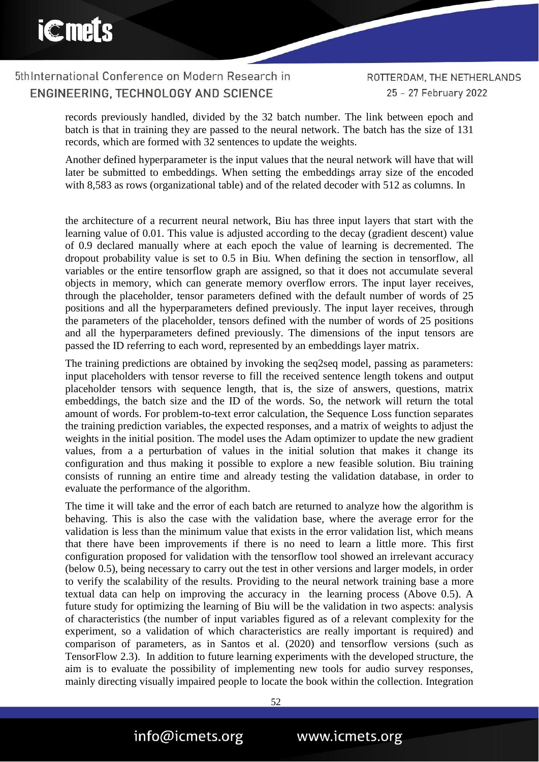ROTTERDAM, THE NETHERLANDS 25 - 27 February 2022

records previously handled, divided by the 32 batch number. The link between epoch and batch is that in training they are passed to the neural network. The batch has the size of 131 records, which are formed with 32 sentences to update the weights.

Another defined hyperparameter is the input values that the neural network will have that will later be submitted to embeddings. When setting the embeddings array size of the encoded with 8,583 as rows (organizational table) and of the related decoder with 512 as columns. In

the architecture of a recurrent neural network, Biu has three input layers that start with the learning value of 0.01. This value is adjusted according to the decay (gradient descent) value of 0.9 declared manually where at each epoch the value of learning is decremented. The dropout probability value is set to 0.5 in Biu. When defining the section in tensorflow, all variables or the entire tensorflow graph are assigned, so that it does not accumulate several objects in memory, which can generate memory overflow errors. The input layer receives, through the placeholder, tensor parameters defined with the default number of words of 25 positions and all the hyperparameters defined previously. The input layer receives, through the parameters of the placeholder, tensors defined with the number of words of 25 positions and all the hyperparameters defined previously. The dimensions of the input tensors are passed the ID referring to each word, represented by an embeddings layer matrix.

The training predictions are obtained by invoking the seq2seq model, passing as parameters: input placeholders with tensor reverse to fill the received sentence length tokens and output placeholder tensors with sequence length, that is, the size of answers, questions, matrix embeddings, the batch size and the ID of the words. So, the network will return the total amount of words. For problem-to-text error calculation, the Sequence Loss function separates the training prediction variables, the expected responses, and a matrix of weights to adjust the weights in the initial position. The model uses the Adam optimizer to update the new gradient values, from a a perturbation of values in the initial solution that makes it change its configuration and thus making it possible to explore a new feasible solution. Biu training consists of running an entire time and already testing the validation database, in order to evaluate the performance of the algorithm.

The time it will take and the error of each batch are returned to analyze how the algorithm is behaving. This is also the case with the validation base, where the average error for the validation is less than the minimum value that exists in the error validation list, which means that there have been improvements if there is no need to learn a little more. This first configuration proposed for validation with the tensorflow tool showed an irrelevant accuracy (below 0.5), being necessary to carry out the test in other versions and larger models, in order to verify the scalability of the results. Providing to the neural network training base a more textual data can help on improving the accuracy in the learning process (Above 0.5). A future study for optimizing the learning of Biu will be the validation in two aspects: analysis of characteristics (the number of input variables figured as of a relevant complexity for the experiment, so a validation of which characteristics are really important is required) and comparison of parameters, as in Santos et al. (2020) and tensorflow versions (such as TensorFlow 2.3). In addition to future learning experiments with the developed structure, the aim is to evaluate the possibility of implementing new tools for audio survey responses, mainly directing visually impaired people to locate the book within the collection. Integration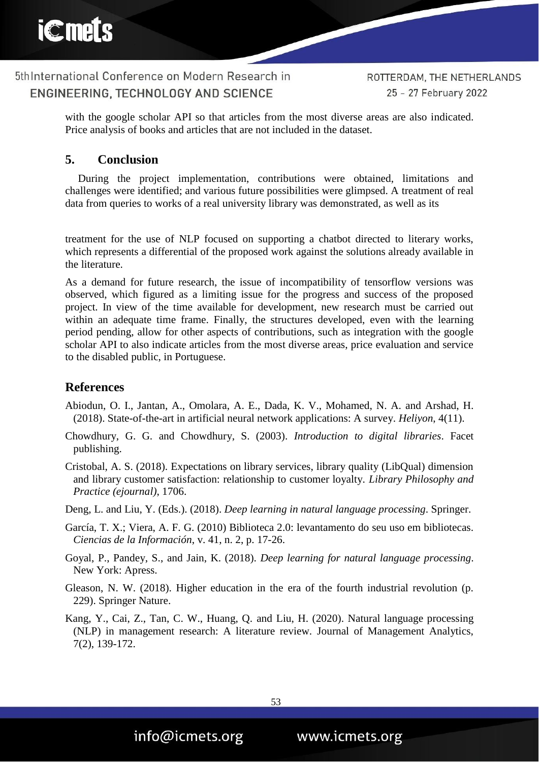

ROTTERDAM, THE NETHERLANDS 25 - 27 February 2022

with the google scholar API so that articles from the most diverse areas are also indicated. Price analysis of books and articles that are not included in the dataset.

## **5. Conclusion**

During the project implementation, contributions were obtained, limitations and challenges were identified; and various future possibilities were glimpsed. A treatment of real data from queries to works of a real university library was demonstrated, as well as its

treatment for the use of NLP focused on supporting a chatbot directed to literary works, which represents a differential of the proposed work against the solutions already available in the literature.

As a demand for future research, the issue of incompatibility of tensorflow versions was observed, which figured as a limiting issue for the progress and success of the proposed project. In view of the time available for development, new research must be carried out within an adequate time frame. Finally, the structures developed, even with the learning period pending, allow for other aspects of contributions, such as integration with the google scholar API to also indicate articles from the most diverse areas, price evaluation and service to the disabled public, in Portuguese.

#### **References**

- Abiodun, O. I., Jantan, A., Omolara, A. E., Dada, K. V., Mohamed, N. A. and Arshad, H. (2018). State-of-the-art in artificial neural network applications: A survey. *Heliyon*, 4(11).
- Chowdhury, G. G. and Chowdhury, S. (2003). *Introduction to digital libraries*. Facet publishing.
- Cristobal, A. S. (2018). Expectations on library services, library quality (LibQual) dimension and library customer satisfaction: relationship to customer loyalty. *Library Philosophy and Practice (ejournal)*, 1706.
- Deng, L. and Liu, Y. (Eds.). (2018). *Deep learning in natural language processing*. Springer.
- García, T. X.; Viera, A. F. G. (2010) Biblioteca 2.0: levantamento do seu uso em bibliotecas. *Ciencias de la Información*, v. 41, n. 2, p. 17-26.
- Goyal, P., Pandey, S., and Jain, K. (2018). *Deep learning for natural language processing*. New York: Apress.
- Gleason, N. W. (2018). Higher education in the era of the fourth industrial revolution (p. 229). Springer Nature.
- Kang, Y., Cai, Z., Tan, C. W., Huang, Q. and Liu, H. (2020). Natural language processing (NLP) in management research: A literature review. Journal of Management Analytics, 7(2), 139-172.



info@icmets.org